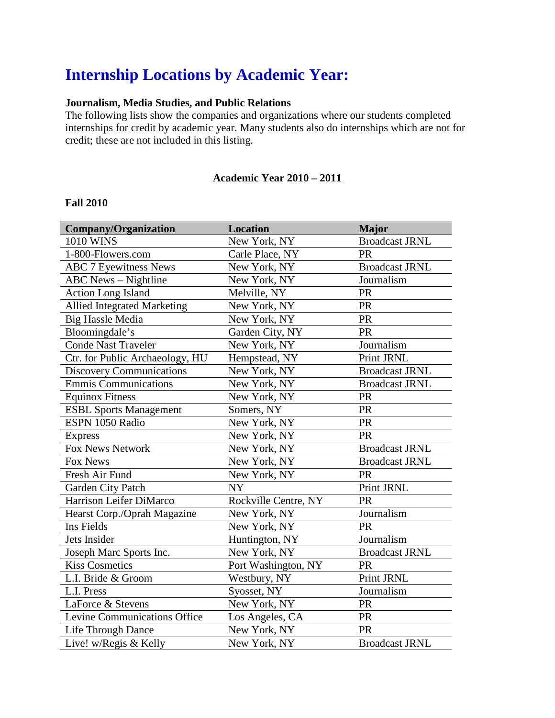# **Internship Locations by Academic Year:**

## **Journalism, Media Studies, and Public Relations**

The following lists show the companies and organizations where our students completed internships for credit by academic year. Many students also do internships which are not for credit; these are not included in this listing.

### **Academic Year 2010 – 2011**

#### **Fall 2010**

| <b>Company/Organization</b>        | <b>Location</b>      | <b>Major</b>          |
|------------------------------------|----------------------|-----------------------|
| 1010 WINS                          | New York, NY         | <b>Broadcast JRNL</b> |
| 1-800-Flowers.com                  | Carle Place, NY      | <b>PR</b>             |
| <b>ABC 7 Eyewitness News</b>       | New York, NY         | <b>Broadcast JRNL</b> |
| <b>ABC</b> News - Nightline        | New York, NY         | Journalism            |
| <b>Action Long Island</b>          | Melville, NY         | PR                    |
| <b>Allied Integrated Marketing</b> | New York, NY         | PR                    |
| <b>Big Hassle Media</b>            | New York, NY         | PR                    |
| Bloomingdale's                     | Garden City, NY      | <b>PR</b>             |
| <b>Conde Nast Traveler</b>         | New York, NY         | Journalism            |
| Ctr. for Public Archaeology, HU    | Hempstead, NY        | Print JRNL            |
| <b>Discovery Communications</b>    | New York, NY         | <b>Broadcast JRNL</b> |
| <b>Emmis Communications</b>        | New York, NY         | <b>Broadcast JRNL</b> |
| <b>Equinox Fitness</b>             | New York, NY         | <b>PR</b>             |
| <b>ESBL Sports Management</b>      | Somers, NY           | PR                    |
| ESPN 1050 Radio                    | New York, NY         | <b>PR</b>             |
| <b>Express</b>                     | New York, NY         | PR                    |
| Fox News Network                   | New York, NY         | <b>Broadcast JRNL</b> |
| Fox News                           | New York, NY         | <b>Broadcast JRNL</b> |
| Fresh Air Fund                     | New York, NY         | <b>PR</b>             |
| Garden City Patch                  | <b>NY</b>            | Print JRNL            |
| Harrison Leifer DiMarco            | Rockville Centre, NY | <b>PR</b>             |
| Hearst Corp./Oprah Magazine        | New York, NY         | Journalism            |
| Ins Fields                         | New York, NY         | <b>PR</b>             |
| Jets Insider                       | Huntington, NY       | Journalism            |
| Joseph Marc Sports Inc.            | New York, NY         | <b>Broadcast JRNL</b> |
| <b>Kiss Cosmetics</b>              | Port Washington, NY  | PR                    |
| L.I. Bride & Groom                 | Westbury, NY         | Print JRNL            |
| L.I. Press                         | Syosset, NY          | Journalism            |
| LaForce & Stevens                  | New York, NY         | <b>PR</b>             |
| Levine Communications Office       | Los Angeles, CA      | <b>PR</b>             |
| Life Through Dance                 | New York, NY         | PR                    |
| Live! w/Regis & Kelly              | New York, NY         | <b>Broadcast JRNL</b> |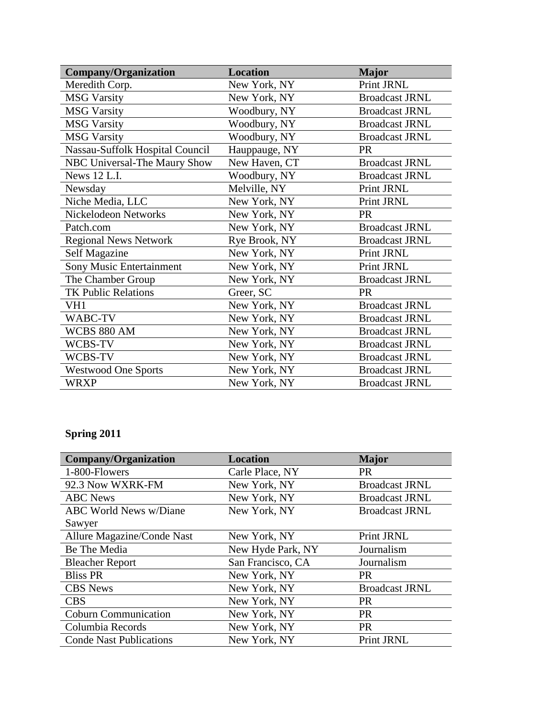| <b>Company/Organization</b>     | <b>Location</b> | <b>Major</b>          |
|---------------------------------|-----------------|-----------------------|
| Meredith Corp.                  | New York, NY    | Print JRNL            |
| <b>MSG Varsity</b>              | New York, NY    | <b>Broadcast JRNL</b> |
| <b>MSG Varsity</b>              | Woodbury, NY    | <b>Broadcast JRNL</b> |
| <b>MSG Varsity</b>              | Woodbury, NY    | <b>Broadcast JRNL</b> |
| <b>MSG Varsity</b>              | Woodbury, NY    | <b>Broadcast JRNL</b> |
| Nassau-Suffolk Hospital Council | Hauppauge, NY   | <b>PR</b>             |
| NBC Universal-The Maury Show    | New Haven, CT   | <b>Broadcast JRNL</b> |
| News 12 L.I.                    | Woodbury, NY    | <b>Broadcast JRNL</b> |
| Newsday                         | Melville, NY    | Print JRNL            |
| Niche Media, LLC                | New York, NY    | Print JRNL            |
| Nickelodeon Networks            | New York, NY    | <b>PR</b>             |
| Patch.com                       | New York, NY    | <b>Broadcast JRNL</b> |
| <b>Regional News Network</b>    | Rye Brook, NY   | <b>Broadcast JRNL</b> |
| Self Magazine                   | New York, NY    | Print JRNL            |
| Sony Music Entertainment        | New York, NY    | Print JRNL            |
| The Chamber Group               | New York, NY    | <b>Broadcast JRNL</b> |
| <b>TK Public Relations</b>      | Greer, SC       | <b>PR</b>             |
| VH1                             | New York, NY    | <b>Broadcast JRNL</b> |
| WABC-TV                         | New York, NY    | <b>Broadcast JRNL</b> |
| <b>WCBS 880 AM</b>              | New York, NY    | <b>Broadcast JRNL</b> |
| WCBS-TV                         | New York, NY    | <b>Broadcast JRNL</b> |
| WCBS-TV                         | New York, NY    | <b>Broadcast JRNL</b> |
| <b>Westwood One Sports</b>      | New York, NY    | <b>Broadcast JRNL</b> |
| WRXP                            | New York, NY    | <b>Broadcast JRNL</b> |

## **Spring 2011**

| <b>Company/Organization</b>    | <b>Location</b>   | <b>Major</b>          |
|--------------------------------|-------------------|-----------------------|
| 1-800-Flowers                  | Carle Place, NY   | <b>PR</b>             |
| 92.3 Now WXRK-FM               | New York, NY      | <b>Broadcast JRNL</b> |
| <b>ABC</b> News                | New York, NY      | <b>Broadcast JRNL</b> |
| <b>ABC World News w/Diane</b>  | New York, NY      | <b>Broadcast JRNL</b> |
| Sawyer                         |                   |                       |
| Allure Magazine/Conde Nast     | New York, NY      | Print JRNL            |
| Be The Media                   | New Hyde Park, NY | Journalism            |
| <b>Bleacher Report</b>         | San Francisco, CA | Journalism            |
| <b>Bliss PR</b>                | New York, NY      | <b>PR</b>             |
| <b>CBS</b> News                | New York, NY      | <b>Broadcast JRNL</b> |
| <b>CBS</b>                     | New York, NY      | <b>PR</b>             |
| <b>Coburn Communication</b>    | New York, NY      | <b>PR</b>             |
| Columbia Records               | New York, NY      | <b>PR</b>             |
| <b>Conde Nast Publications</b> | New York, NY      | <b>Print JRNL</b>     |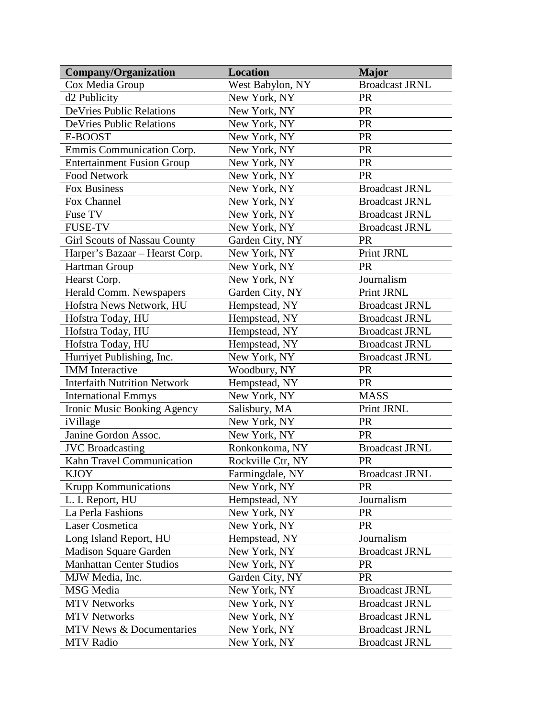| <b>Company/Organization</b>         | <b>Location</b>   | <b>Major</b>          |
|-------------------------------------|-------------------|-----------------------|
| Cox Media Group                     | West Babylon, NY  | <b>Broadcast JRNL</b> |
| d <sub>2</sub> Publicity            | New York, NY      | <b>PR</b>             |
| <b>DeVries Public Relations</b>     | New York, NY      | <b>PR</b>             |
| <b>DeVries Public Relations</b>     | New York, NY      | <b>PR</b>             |
| E-BOOST                             | New York, NY      | <b>PR</b>             |
| Emmis Communication Corp.           | New York, NY      | <b>PR</b>             |
| <b>Entertainment Fusion Group</b>   | New York, NY      | <b>PR</b>             |
| <b>Food Network</b>                 | New York, NY      | <b>PR</b>             |
| Fox Business                        | New York, NY      | <b>Broadcast JRNL</b> |
| Fox Channel                         | New York, NY      | <b>Broadcast JRNL</b> |
| Fuse TV                             | New York, NY      | <b>Broadcast JRNL</b> |
| <b>FUSE-TV</b>                      | New York, NY      | <b>Broadcast JRNL</b> |
| <b>Girl Scouts of Nassau County</b> | Garden City, NY   | <b>PR</b>             |
| Harper's Bazaar - Hearst Corp.      | New York, NY      | Print JRNL            |
| Hartman Group                       | New York, NY      | <b>PR</b>             |
| Hearst Corp.                        | New York, NY      | Journalism            |
| Herald Comm. Newspapers             | Garden City, NY   | Print JRNL            |
| Hofstra News Network, HU            | Hempstead, NY     | <b>Broadcast JRNL</b> |
| Hofstra Today, HU                   | Hempstead, NY     | <b>Broadcast JRNL</b> |
| Hofstra Today, HU                   | Hempstead, NY     | <b>Broadcast JRNL</b> |
| Hofstra Today, HU                   | Hempstead, NY     | <b>Broadcast JRNL</b> |
| Hurriyet Publishing, Inc.           | New York, NY      | <b>Broadcast JRNL</b> |
| <b>IMM</b> Interactive              | Woodbury, NY      | <b>PR</b>             |
| <b>Interfaith Nutrition Network</b> | Hempstead, NY     | <b>PR</b>             |
| <b>International Emmys</b>          | New York, NY      | <b>MASS</b>           |
| Ironic Music Booking Agency         | Salisbury, MA     | Print JRNL            |
| iVillage                            | New York, NY      | <b>PR</b>             |
| Janine Gordon Assoc.                | New York, NY      | <b>PR</b>             |
| <b>JVC</b> Broadcasting             | Ronkonkoma, NY    | <b>Broadcast JRNL</b> |
| Kahn Travel Communication           | Rockville Ctr, NY | <b>PR</b>             |
| <b>KJOY</b>                         | Farmingdale, NY   | <b>Broadcast JRNL</b> |
| <b>Krupp Kommunications</b>         | New York, NY      | <b>PR</b>             |
| L. I. Report, HU                    | Hempstead, NY     | Journalism            |
| La Perla Fashions                   | New York, NY      | <b>PR</b>             |
| <b>Laser Cosmetica</b>              | New York, NY      | <b>PR</b>             |
| Long Island Report, HU              | Hempstead, NY     | Journalism            |
| <b>Madison Square Garden</b>        | New York, NY      | <b>Broadcast JRNL</b> |
| <b>Manhattan Center Studios</b>     | New York, NY      | <b>PR</b>             |
| MJW Media, Inc.                     | Garden City, NY   | <b>PR</b>             |
| MSG Media                           | New York, NY      | <b>Broadcast JRNL</b> |
| <b>MTV Networks</b>                 | New York, NY      | <b>Broadcast JRNL</b> |
| <b>MTV Networks</b>                 | New York, NY      | <b>Broadcast JRNL</b> |
| MTV News & Documentaries            | New York, NY      | <b>Broadcast JRNL</b> |
| <b>MTV Radio</b>                    | New York, NY      | <b>Broadcast JRNL</b> |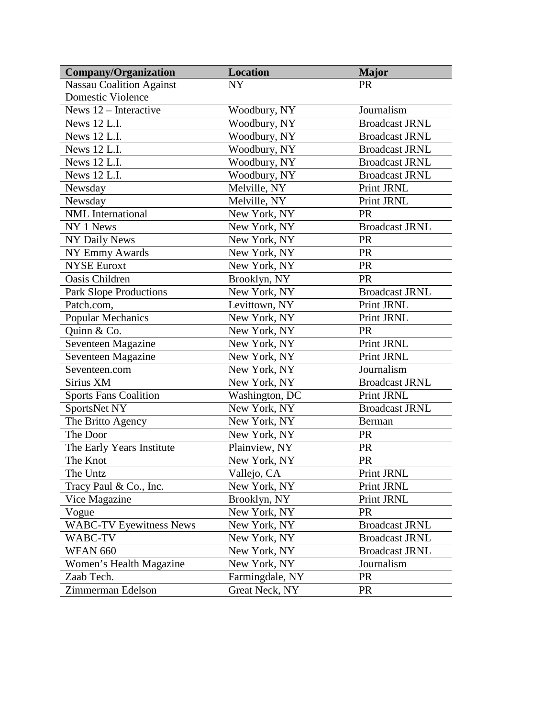| <b>Company/Organization</b>     | <b>Location</b> | <b>Major</b>          |
|---------------------------------|-----------------|-----------------------|
| <b>Nassau Coalition Against</b> | <b>NY</b>       | <b>PR</b>             |
| <b>Domestic Violence</b>        |                 |                       |
| News 12 - Interactive           | Woodbury, NY    | Journalism            |
| News 12 L.I.                    | Woodbury, NY    | <b>Broadcast JRNL</b> |
| <b>News 12 L.I.</b>             | Woodbury, NY    | <b>Broadcast JRNL</b> |
| News 12 L.I.                    | Woodbury, NY    | <b>Broadcast JRNL</b> |
| News 12 L.I.                    | Woodbury, NY    | <b>Broadcast JRNL</b> |
| <b>News 12 L.I.</b>             | Woodbury, NY    | <b>Broadcast JRNL</b> |
| Newsday                         | Melville, NY    | Print JRNL            |
| Newsday                         | Melville, NY    | Print JRNL            |
| <b>NML</b> International        | New York, NY    | <b>PR</b>             |
| NY 1 News                       | New York, NY    | <b>Broadcast JRNL</b> |
| <b>NY Daily News</b>            | New York, NY    | <b>PR</b>             |
| NY Emmy Awards                  | New York, NY    | PR                    |
| <b>NYSE</b> Euroxt              | New York, NY    | PR                    |
| Oasis Children                  | Brooklyn, NY    | <b>PR</b>             |
| <b>Park Slope Productions</b>   | New York, NY    | <b>Broadcast JRNL</b> |
| Patch.com,                      | Levittown, NY   | Print JRNL            |
| <b>Popular Mechanics</b>        | New York, NY    | Print JRNL            |
| Quinn & Co.                     | New York, NY    | <b>PR</b>             |
| Seventeen Magazine              | New York, NY    | Print JRNL            |
| Seventeen Magazine              | New York, NY    | Print JRNL            |
| Seventeen.com                   | New York, NY    | Journalism            |
| Sirius XM                       | New York, NY    | <b>Broadcast JRNL</b> |
| <b>Sports Fans Coalition</b>    | Washington, DC  | Print JRNL            |
| SportsNet NY                    | New York, NY    | <b>Broadcast JRNL</b> |
| The Britto Agency               | New York, NY    | Berman                |
| The Door                        | New York, NY    | <b>PR</b>             |
| The Early Years Institute       | Plainview, NY   | <b>PR</b>             |
| The Knot                        | New York, NY    | <b>PR</b>             |
| The Untz                        | Vallejo, CA     | Print JRNL            |
| Tracy Paul & Co., Inc.          | New York, NY    | Print JRNL            |
| Vice Magazine                   | Brooklyn, NY    | Print JRNL            |
| Vogue                           | New York, NY    | <b>PR</b>             |
| <b>WABC-TV Eyewitness News</b>  | New York, NY    | <b>Broadcast JRNL</b> |
| WABC-TV                         | New York, NY    | <b>Broadcast JRNL</b> |
| <b>WFAN 660</b>                 | New York, NY    | <b>Broadcast JRNL</b> |
| Women's Health Magazine         | New York, NY    | Journalism            |
| Zaab Tech.                      | Farmingdale, NY | <b>PR</b>             |
| Zimmerman Edelson               | Great Neck, NY  | <b>PR</b>             |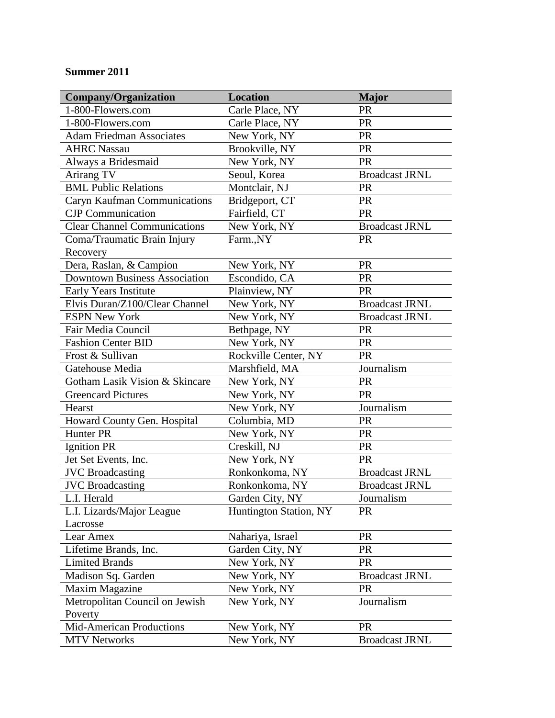## **Summer 2011**

| <b>Company/Organization</b>          | <b>Location</b>               | <b>Major</b>          |
|--------------------------------------|-------------------------------|-----------------------|
| 1-800-Flowers.com                    | Carle Place, NY               | <b>PR</b>             |
| 1-800-Flowers.com                    | Carle Place, NY               | <b>PR</b>             |
| <b>Adam Friedman Associates</b>      | New York, NY                  | <b>PR</b>             |
| <b>AHRC Nassau</b>                   | Brookville, NY                | PR                    |
| Always a Bridesmaid                  | New York, NY                  | <b>PR</b>             |
| Arirang TV                           | Seoul, Korea                  | <b>Broadcast JRNL</b> |
| <b>BML Public Relations</b>          | Montclair, NJ                 | PR                    |
| Caryn Kaufman Communications         | Bridgeport, CT                | <b>PR</b>             |
| <b>CJP</b> Communication             | Fairfield, CT                 | <b>PR</b>             |
| <b>Clear Channel Communications</b>  | New York, NY                  | <b>Broadcast JRNL</b> |
| Coma/Traumatic Brain Injury          | Farm.,NY                      | <b>PR</b>             |
| Recovery                             |                               |                       |
| Dera, Raslan, & Campion              | New York, NY                  | <b>PR</b>             |
| <b>Downtown Business Association</b> | Escondido, CA                 | <b>PR</b>             |
| Early Years Institute                | Plainview, NY                 | <b>PR</b>             |
| Elvis Duran/Z100/Clear Channel       | New York, NY                  | <b>Broadcast JRNL</b> |
| <b>ESPN New York</b>                 | New York, NY                  | <b>Broadcast JRNL</b> |
| Fair Media Council                   | Bethpage, NY                  | <b>PR</b>             |
| <b>Fashion Center BID</b>            | New York, NY                  | <b>PR</b>             |
| Frost & Sullivan                     | Rockville Center, NY          | <b>PR</b>             |
| Gatehouse Media                      | Marshfield, MA                | Journalism            |
| Gotham Lasik Vision & Skincare       | New York, NY                  | <b>PR</b>             |
| <b>Greencard Pictures</b>            | New York, NY                  | <b>PR</b>             |
| Hearst                               | New York, NY                  | Journalism            |
| Howard County Gen. Hospital          | Columbia, MD                  | <b>PR</b>             |
| Hunter PR                            | New York, NY                  | <b>PR</b>             |
| <b>Ignition PR</b>                   | Creskill, NJ                  | <b>PR</b>             |
| Jet Set Events, Inc.                 | New York, NY                  | <b>PR</b>             |
| <b>JVC</b> Broadcasting              | Ronkonkoma, NY                | <b>Broadcast JRNL</b> |
| <b>JVC</b> Broadcasting              | Ronkonkoma, NY                | <b>Broadcast JRNL</b> |
| L.I. Herald                          | Garden City, NY               | Journalism            |
| L.I. Lizards/Major League            | <b>Huntington Station, NY</b> | <b>PR</b>             |
| Lacrosse                             |                               |                       |
| Lear Amex                            | Nahariya, Israel              | <b>PR</b>             |
| Lifetime Brands, Inc.                | Garden City, NY               | <b>PR</b>             |
| <b>Limited Brands</b>                | New York, NY                  | <b>PR</b>             |
| Madison Sq. Garden                   | New York, NY                  | <b>Broadcast JRNL</b> |
| <b>Maxim Magazine</b>                | New York, NY                  | <b>PR</b>             |
| Metropolitan Council on Jewish       | New York, NY                  | Journalism            |
| Poverty                              |                               |                       |
| Mid-American Productions             | New York, NY                  | <b>PR</b>             |
| <b>MTV Networks</b>                  | New York, NY                  | <b>Broadcast JRNL</b> |